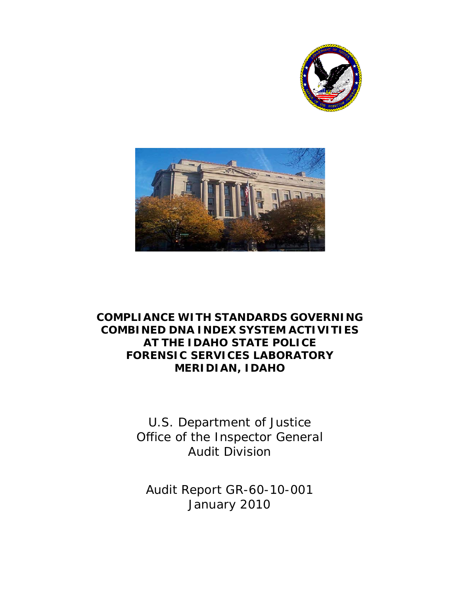



## **COMPLIANCE WITH STANDARDS GOVERNING COMBINED DNA INDEX SYSTEM ACTIVITIES AT THE IDAHO STATE POLICE FORENSIC SERVICES LABORATORY MERIDIAN, IDAHO**

U.S. Department of Justice Office of the Inspector General Audit Division

Audit Report GR-60-10-001 January 2010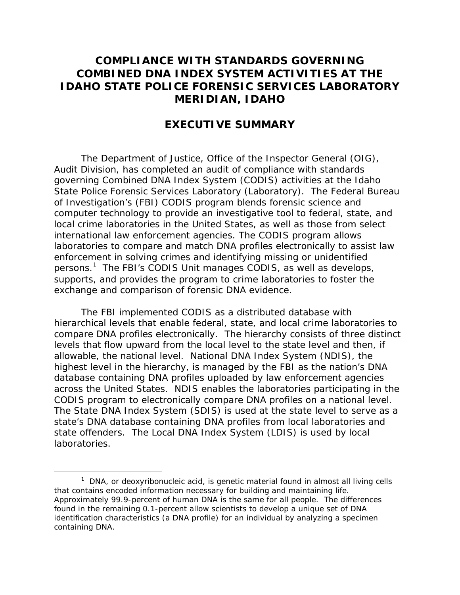## **COMPLIANCE WITH STANDARDS GOVERNING COMBINED DNA INDEX SYSTEM ACTIVITIES AT THE IDAHO STATE POLICE FORENSIC SERVICES LABORATORY MERIDIAN, IDAHO**

## **EXECUTIVE SUMMARY**

The Department of Justice, Office of the Inspector General (OIG), Audit Division, has completed an audit of compliance with standards governing Combined DNA Index System (CODIS) activities at the Idaho State Police Forensic Services Laboratory (Laboratory). The Federal Bureau of Investigation's (FBI) CODIS program blends forensic science and computer technology to provide an investigative tool to federal, state, and local crime laboratories in the United States, as well as those from select international law enforcement agencies. The CODIS program allows laboratories to compare and match DNA profiles electronically to assist law enforcement in solving crimes and identifying missing or unidentified persons.<sup>[1](#page-1-0)</sup> The FBI's CODIS Unit manages CODIS, as well as develops, supports, and provides the program to crime laboratories to foster the exchange and comparison of forensic DNA evidence.

The FBI implemented CODIS as a distributed database with hierarchical levels that enable federal, state, and local crime laboratories to compare DNA profiles electronically. The hierarchy consists of three distinct levels that flow upward from the local level to the state level and then, if allowable, the national level. National DNA Index System (NDIS), the highest level in the hierarchy, is managed by the FBI as the nation's DNA database containing DNA profiles uploaded by law enforcement agencies across the United States. NDIS enables the laboratories participating in the CODIS program to electronically compare DNA profiles on a national level. The State DNA Index System (SDIS) is used at the state level to serve as a state's DNA database containing DNA profiles from local laboratories and state offenders. The Local DNA Index System (LDIS) is used by local laboratories.

<span id="page-1-0"></span> $\frac{1}{1}$  $1$  DNA, or deoxyribonucleic acid, is genetic material found in almost all living cells that contains encoded information necessary for building and maintaining life. Approximately 99.9-percent of human DNA is the same for all people. The differences found in the remaining 0.1-percent allow scientists to develop a unique set of DNA identification characteristics (a DNA profile) for an individual by analyzing a specimen containing DNA.